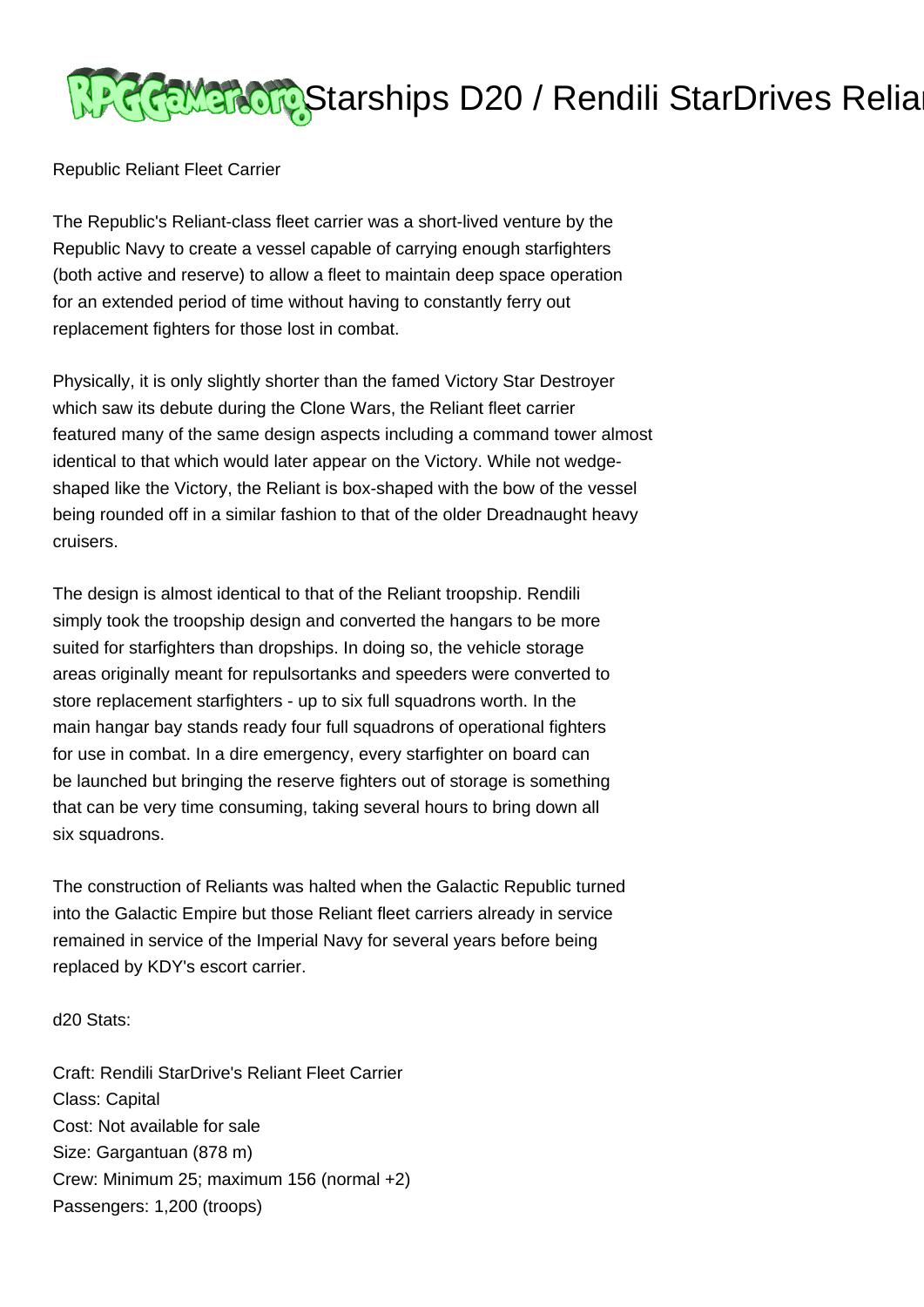

Republic Reliant Fleet Carrier

The Republic's Reliant-class fleet carrier was a short-lived venture by the Republic Navy to create a vessel capable of carrying enough starfighters (both active and reserve) to allow a fleet to maintain deep space operation for an extended period of time without having to constantly ferry out replacement fighters for those lost in combat.

Physically, it is only slightly shorter than the famed Victory Star Destroyer which saw its debute during the Clone Wars, the Reliant fleet carrier featured many of the same design aspects including a command tower almost identical to that which would later appear on the Victory. While not wedgeshaped like the Victory, the Reliant is box-shaped with the bow of the vessel being rounded off in a similar fashion to that of the older Dreadnaught heavy cruisers.

The design is almost identical to that of the Reliant troopship. Rendili simply took the troopship design and converted the hangars to be more suited for starfighters than dropships. In doing so, the vehicle storage areas originally meant for repulsortanks and speeders were converted to store replacement starfighters - up to six full squadrons worth. In the main hangar bay stands ready four full squadrons of operational fighters for use in combat. In a dire emergency, every starfighter on board can be launched but bringing the reserve fighters out of storage is something that can be very time consuming, taking several hours to bring down all six squadrons.

The construction of Reliants was halted when the Galactic Republic turned into the Galactic Empire but those Reliant fleet carriers already in service remained in service of the Imperial Navy for several years before being replaced by KDY's escort carrier.

d20 Stats:

Craft: Rendili StarDrive's Reliant Fleet Carrier Class: Capital Cost: Not available for sale Size: Gargantuan (878 m) Crew: Minimum 25; maximum 156 (normal +2) Passengers: 1,200 (troops)